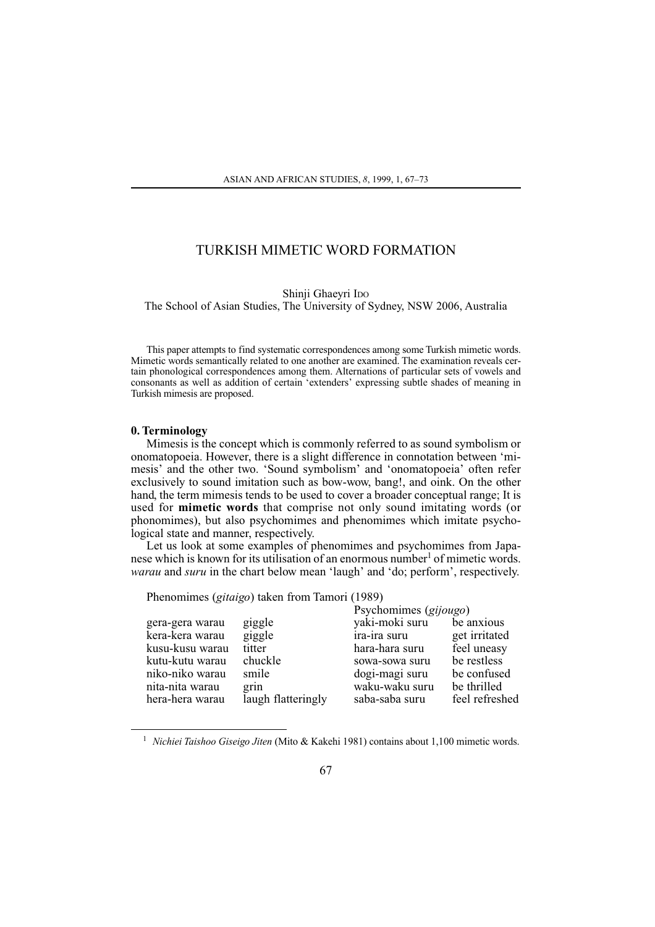# TURKISH MIMETIC WORD FORMATION

#### Shinji Ghaevri Ipo

The School of Asian Studies, The University of Sydney, NSW 2006, Australia

This paper attempts to find systematic correspondences among some Turkish mimetic words. Mimetic words semantically related to one another are examined. The examination reveals certain phonological correspondences among them. Alternations of particular sets of vowels and consonants as well as addition of certain 'extenders' expressing subtle shades of meaning in Turkish mimesis are proposed.

## 0. Terminology

Mimesis is the concept which is commonly referred to as sound symbolism or onomatopoeia. However, there is a slight difference in connotation between 'mimesis' and the other two. 'Sound symbolism' and 'onomatopoeia' often refer exclusively to sound imitation such as bow-wow, bang!, and oink. On the other hand, the term mimesis tends to be used to cover a broader conceptual range; It is used for mimetic words that comprise not only sound imitating words (or phonomimes), but also psychomimes and phenomimes which imitate psychological state and manner, respectively.

Let us look at some examples of phenomimes and psychomimes from Japanese which is known for its utilisation of an enormous number<sup>1</sup> of mimetic words. warau and suru in the chart below mean 'laugh' and 'do; perform', respectively.

Phenomimes (gitaigo) taken from Tamori (1989)

|                 |                    | Psychomimes (gijougo) |                |
|-----------------|--------------------|-----------------------|----------------|
| gera-gera warau | giggle             | yaki-moki suru        | be anxious     |
| kera-kera warau | giggle             | ira-ira suru          | get irritated  |
| kusu-kusu warau | titter             | hara-hara suru        | feel uneasy    |
| kutu-kutu warau | chuckle            | sowa-sowa suru        | be restless    |
| niko-niko warau | smile              | dogi-magi suru        | be confused    |
| nita-nita warau | grin               | waku-waku suru        | be thrilled    |
| hera-hera warau | laugh flatteringly | saba-saba suru        | feel refreshed |
|                 |                    |                       |                |

 $\mathcal{L}^{\text{max}}$ 

<sup>1</sup> Nichiei Taishoo Giseigo Jiten (Mito & Kakehi 1981) contains about 1,100 mimetic words.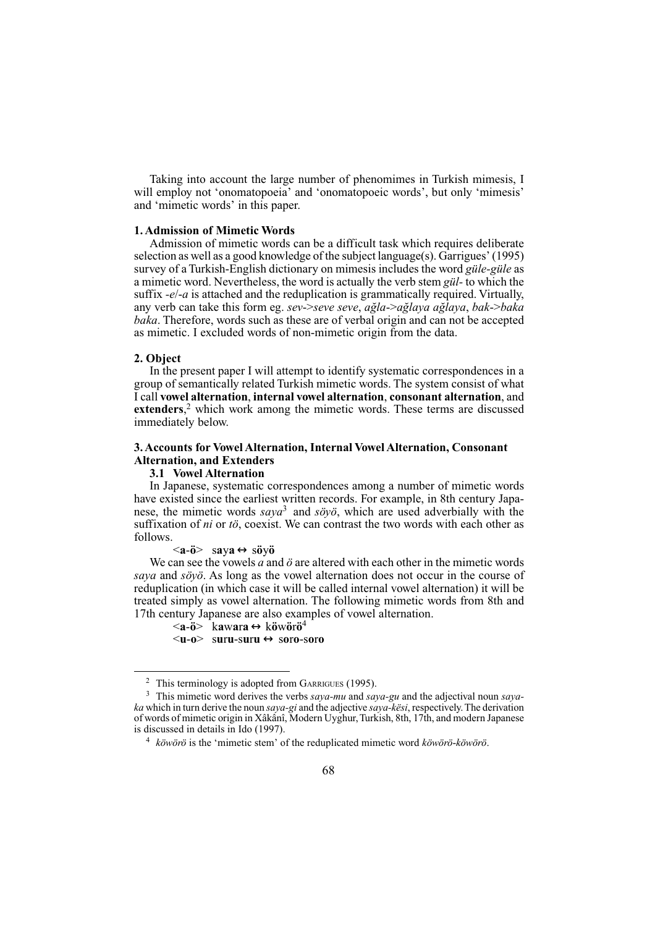Taking into account the large number of phenomimes in Turkish mimesis. I will employ not 'onomatopoeia' and 'onomatopoeic words', but only 'mimesis' and 'mimetic words' in this paper.

### 1. Admission of Mimetic Words

Admission of mimetic words can be a difficult task which requires deliberate selection as well as a good knowledge of the subject language(s). Garrigues' (1995) survey of a Turkish-English dictionary on mimesis includes the word güle-güle as a mimetic word. Nevertheless, the word is actually the verb stem gül- to which the suffix  $-e/-a$  is attached and the reduplication is grammatically required. Virtually, any verb can take this form eg. sev->seve seve, ağla->ağlaya ağlaya, bak->baka baka. Therefore, words such as these are of verbal origin and can not be accepted as mimetic. I excluded words of non-mimetic origin from the data.

### 2. Object

In the present paper I will attempt to identify systematic correspondences in a group of semantically related Turkish mimetic words. The system consist of what I call vowel alternation, internal vowel alternation, consonant alternation, and **extenders**, $^2$  which work among the mimetic words. These terms are discussed immediately below.

# 3. Accounts for Vowel Alternation, Internal Vowel Alternation, Consonant **Alternation, and Extenders**

### 3.1 Vowel Alternation

In Japanese, systematic correspondences among a number of mimetic words have existed since the earliest written records. For example, in 8th century Japanese, the mimetic words  $saya^3$  and  $s\ddot{o}y\ddot{o}$ , which are used adverbially with the suffixation of ni or tö, coexist. We can contrast the two words with each other as follows.

 $\langle a-\ddot{a}\rangle$  sava $\leftrightarrow$ sövö

We can see the yowels a and  $\ddot{o}$  are altered with each other in the mimetic words saya and söyö. As long as the vowel alternation does not occur in the course of reduplication (in which case it will be called internal vowel alternation) it will be treated simply as vowel alternation. The following mimetic words from 8th and 17th century Japanese are also examples of vowel alternation.

 $\langle a-\ddot{o}\rangle$  kawara $\leftrightarrow$ köwörö<sup>4</sup>  $\leq$ u-o $\geq$  suru-suru  $\leftrightarrow$  soro-soro

<sup>&</sup>lt;sup>2</sup> This terminology is adopted from GARRIGUES (1995).

<sup>&</sup>lt;sup>3</sup> This mimetic word derives the verbs *saya-mu* and *saya-gu* and the adjectival noun *saya*ka which in turn derive the noun saya-gi and the adjective saya-kësi, respectively. The derivation of words of mimetic origin in Xâkânî, Modern Uyghur, Turkish, 8th, 17th, and modern Japanese is discussed in details in Ido (1997).

 $4$  köwörö is the 'mimetic stem' of the reduplicated mimetic word köwörö-köwörö.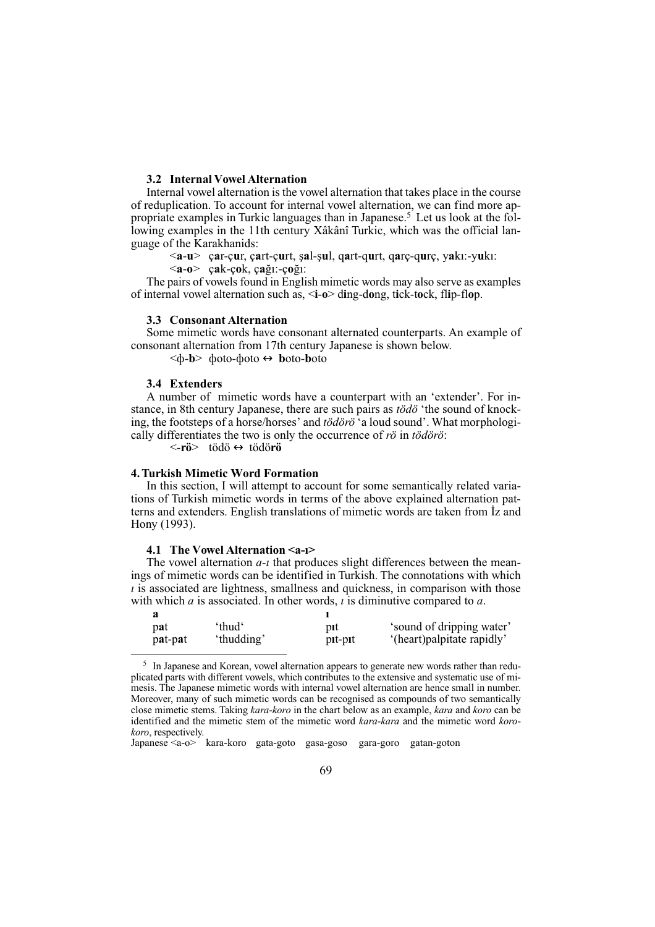# 3.2 Internal Vowel Alternation

Internal vowel alternation is the vowel alternation that takes place in the course of reduplication. To account for internal vowel alternation, we can find more appropriate examples in Turkic languages than in Japanese.<sup>5</sup> Let us look at the following examples in the 11th century Xâkânî Turkic, which was the official language of the Karakhanids:

 $\langle a-u\rangle$  car-cur, cart-curt, sal-sul, gart-qurt, garc-qurc, yakı:-yukı:

 $\langle a-0 \rangle$  cak-cok, cağı:-coğı:

The pairs of vowels found in English mimetic words may also serve as examples of internal vowel alternation such as, <i-o> ding-dong, tick-tock, flip-flop.

### **3.3 Consonant Alternation**

Some mimetic words have consonant alternated counterparts. An example of consonant alternation from 17th century Japanese is shown below.

 $\langle \phi - b \rangle$   $\phi$  doto- $\phi$  doto  $\leftrightarrow$  boto-boto

# 3.4 Extenders

A number of mimetic words have a counterpart with an 'extender'. For instance, in 8th century Japanese, there are such pairs as tödö 'the sound of knocking, the footsteps of a horse/horses' and tödörö 'a loud sound'. What morphologically differentiates the two is only the occurrence of ro in to dono:

<-rö> tödö ↔ tödörö

# **4. Turkish Mimetic Word Formation**

In this section, I will attempt to account for some semantically related variations of Turkish mimetic words in terms of the above explained alternation patterns and extenders. English translations of mimetic words are taken from Iz and Hony (1993).

## 4.1 The Vowel Alternation <a-1>

The vowel alternation  $a$ -*t* that produces slight differences between the meanings of mimetic words can be identified in Turkish. The connotations with which  $\iota$  is associated are lightness, smallness and quickness, in comparison with those with which  $a$  is associated. In other words,  $i$  is diminutive compared to  $a$ .

| pat     | 'thud'     | nıt     | 'sound of dripping water'  |
|---------|------------|---------|----------------------------|
| pat-pat | 'thudding' | pit-pit | '(heart)palpitate rapidly' |

<sup>&</sup>lt;sup>5</sup> In Japanese and Korean, vowel alternation appears to generate new words rather than reduplicated parts with different vowels, which contributes to the extensive and systematic use of mimesis. The Japanese mimetic words with internal vowel alternation are hence small in number. Moreover, many of such mimetic words can be recognised as compounds of two semantically close mimetic stems. Taking kara-koro in the chart below as an example, kara and koro can be identified and the mimetic stem of the mimetic word kara-kara and the mimetic word korokoro, respectively.

Japanese <a-o> kara-koro gata-goto gasa-goso gara-goro gatan-goton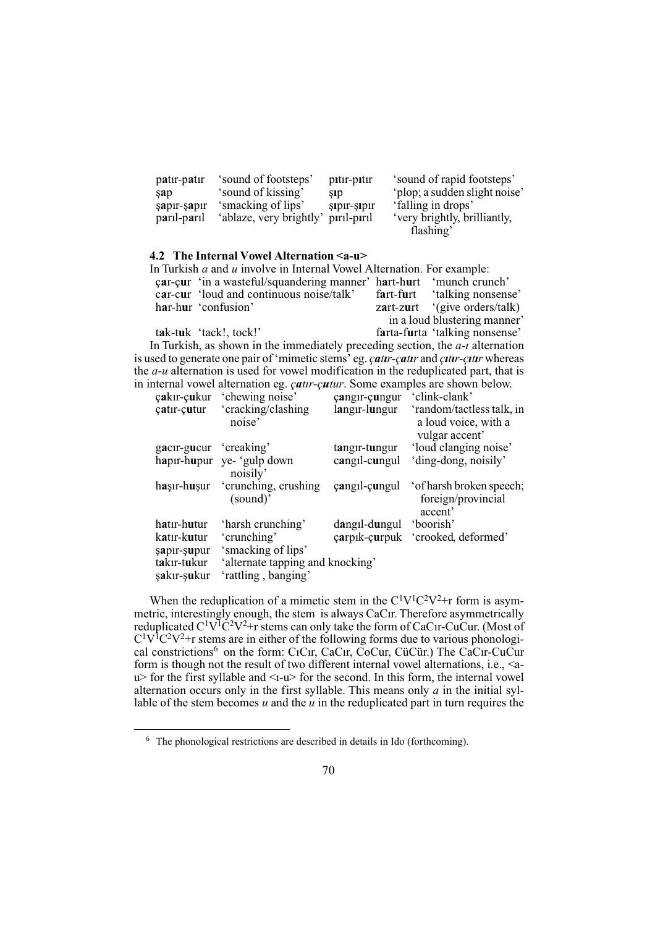| patir-patir | 'sound of footsteps'    | pitir-pitir | 'sound of rapid footsteps'    |
|-------------|-------------------------|-------------|-------------------------------|
| sap         | 'sound of kissing'      | SID         | 'plop; a sudden slight noise' |
| şapır-şapır | 'smacking of lips'      | sipir-sipir | 'falling in drops'            |
| paril-paril | 'ablaze, very brightly' | piril-piril | 'very brightly, brilliantly,  |
|             |                         |             | flashing'                     |

#### 4.2 The Internal Vowel Alternation <a-u>

| In Turkish $a$ and $u$ involve in Internal Vowel Alternation. For example:                |                                |
|-------------------------------------------------------------------------------------------|--------------------------------|
| car-cur 'in a wasteful/squandering manner' hart-hurt 'munch crunch'                       |                                |
| car-cur 'loud and continuous noise/talk'                                                  | fart-furt 'talking nonsense'   |
| har-hur 'confusion'                                                                       | zart-zurt '(give orders/talk)  |
|                                                                                           | in a loud blustering manner'   |
| tak-tuk 'tack!, tock!'                                                                    | farta-furta 'talking nonsense' |
| In Turkish, as shown in the immediately preceding section, the $a$ - <i>i</i> alternation |                                |
| used to concrete ano pair of 'mimotic stams' og eath eath and atty attunitional           |                                |

is used to generate one pair of 'mimetic stems' eg. *catur-catur* and *cutur-cutur* whereas the  $a$ -u alternation is used for vowel modification in the reduplicated part, that is in internal vowel alternation eg. *çatır-çutur*. Some examples are shown below.

| çakır-çukur | chewing noise                    | çangır-çungur | clink-clank                                                |
|-------------|----------------------------------|---------------|------------------------------------------------------------|
| çatır-çutur | 'cracking/clashing<br>noise'     | langır-lungur | 'random/tactless talk, in<br>a loud voice, with a          |
|             |                                  |               | vulgar accent'                                             |
| gacir-gucur | 'creaking'                       | tangir-tungur | 'loud clanging noise'                                      |
| hapir-hupur | ye- 'gulp down<br>noisily'       | cangil-cungul | 'ding-dong, noisily'                                       |
| haşır-huşur | 'crunching, crushing<br>(sound)' | cangil-cungul | ' of harsh broken speech;<br>foreign/provincial<br>accent' |
| hatır-hutur | 'harsh crunching'                | dangil-dungul | 'boorish'                                                  |
| katır-kutur | 'crunching'                      | carpik-curpuk | 'crooked, deformed'                                        |
| şapır-şupur | 'smacking of lips'               |               |                                                            |
| takır-tukur | 'alternate tapping and knocking' |               |                                                            |
| sakır-sukur | 'rattling, banging'              |               |                                                            |
|             |                                  |               |                                                            |

When the reduplication of a mimetic stem in the  $C^1V^1C^2V^2+r$  form is asymmetric, interestingly enough, the stem is always CaCir. Therefore asymmetrically<br>reduplicated  $C^1V^1C^2V^2+r$  stems can only take the form of CaCir-CuCur. (Most of  $C^{1}V^{1}C^{2}V^{2}$ +r stems are in either of the following forms due to various phonological constrictions<sup>6</sup> on the form: C<sub>1</sub>C<sub>1</sub>r, C<sub>a</sub>C<sub>1</sub>r, C<sub>0</sub>C<sub>ur</sub>, C<sub>u</sub>C<sub>u</sub>c<sub>i</sub> C<sub>1</sub><sup>c</sup><sub>u</sub>C<sub>u</sub>C<sub>u</sub>C<sub>u</sub>C<sub>u</sub>C<sub>u</sub>C<sub>u</sub>C<sub>u</sub> form is though not the result of two different internal vowel alternations, i.e., <au> for the first syllable and <1-u> for the second. In this form, the internal vowel alternation occurs only in the first syllable. This means only  $a$  in the initial syllable of the stem becomes  $u$  and the  $u$  in the reduplicated part in turn requires the

 $6\text{ The phonological restrictions are described in details in Ido (forthcoming).}$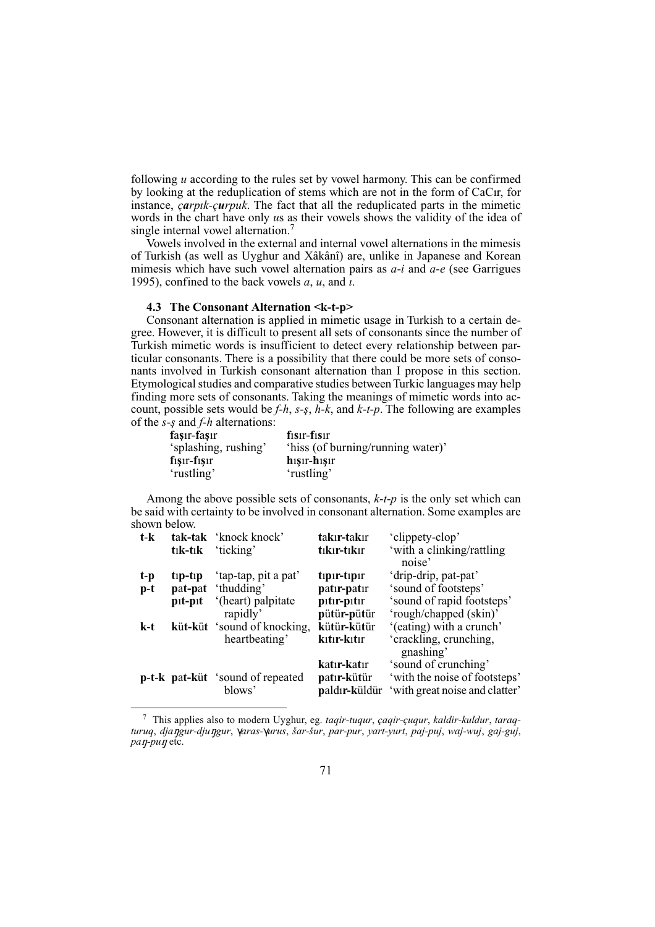following  $u$  according to the rules set by yowel harmony. This can be confirmed by looking at the reduplication of stems which are not in the form of CaCır, for instance, *carpik-curpuk*. The fact that all the reduplicated parts in the mimetic words in the chart have only us as their vowels shows the validity of the idea of single internal vowel alternation.<sup>7</sup>

Vowels involved in the external and internal vowel alternations in the mimesis of Turkish (as well as Uyghur and Xâkânî) are, unlike in Japanese and Korean mimes which have such vowel alternation pairs as  $a-i$  and  $a-e$  (see Garrigues 1995), confined to the back vowels  $a$ ,  $u$ , and  $i$ .

### 4.3 The Consonant Alternation <k-t-p>

Consonant alternation is applied in mimetic usage in Turkish to a certain degree. However, it is difficult to present all sets of consonants since the number of Turkish mimetic words is insufficient to detect every relationship between particular consonants. There is a possibility that there could be more sets of consonants involved in Turkish consonant alternation than I propose in this section. Etymological studies and comparative studies between Turkic languages may help finding more sets of consonants. Taking the meanings of mimetic words into account, possible sets would be  $f-h$ ,  $s-s$ ,  $h-k$ , and  $k-t-p$ . The following are examples of the  $s$ -s and  $f$ -h alternations:

| faşır-faşır          | $f1sin-f1sin$                     |
|----------------------|-----------------------------------|
| 'splashing, rushing' | 'hiss (of burning/running water)' |
| $f1$ sır-fışır       | $h_1$ sır- $h_1$ sır              |
| 'rustling'           | 'rustling'                        |

Among the above possible sets of consonants,  $k-t-p$  is the only set which can be said with certainty to be involved in consonant alternation. Some examples are shown below.

| $t-k$ |                     | tak-tak 'knock knock'                   | takır-takır   | 'clippety-clop'                |
|-------|---------------------|-----------------------------------------|---------------|--------------------------------|
|       | $t_1k-t_1k$         | 'ticking'                               | tıkır-tıkır   | 'with a clinking/rattling      |
|       |                     |                                         |               | noise'                         |
| t-p   | $tip-tip$           | 'tap-tap, pit a pat'                    | tipir-tipir   | 'drip-drip, pat-pat'           |
| $p-t$ | pat-pat             | 'thudding'                              | patır-patır   | 'sound of footsteps'           |
|       | $p_{1}t$ - $p_{1}t$ | '(heart) palpitate                      | pitir-pitir   | 'sound of rapid footsteps'     |
|       |                     | rapidly'                                | pütür-pütür   | 'rough/chapped (skin)'         |
| k-t   |                     | küt-küt 'sound of knocking,             | kütür-kütür   | '(eating) with a crunch'       |
|       |                     | heartbeating'                           | kıtır-kıtır   | 'crackling, crunching,         |
|       |                     |                                         |               | gnashing'                      |
|       |                     |                                         | katır-katır   | 'sound of crunching'           |
|       |                     | <b>p-t-k</b> pat-küt 'sound of repeated | patır-kütür   | 'with the noise of footsteps'  |
|       |                     | blows'                                  | paldır-küldür | 'with great noise and clatter' |
|       |                     |                                         |               |                                |

 $\frac{7}{7}$  This applies also to modern Uyghur, eg. tagir-tugur, cagir-cugur, kaldir-kuldur, targgturuq, djangur-djungur, yaras-yurus, šar-šur, par-pur, yart-yurt, paj-puj, waj-wuj, gaj-guj,  $pan-pu\eta$  etc.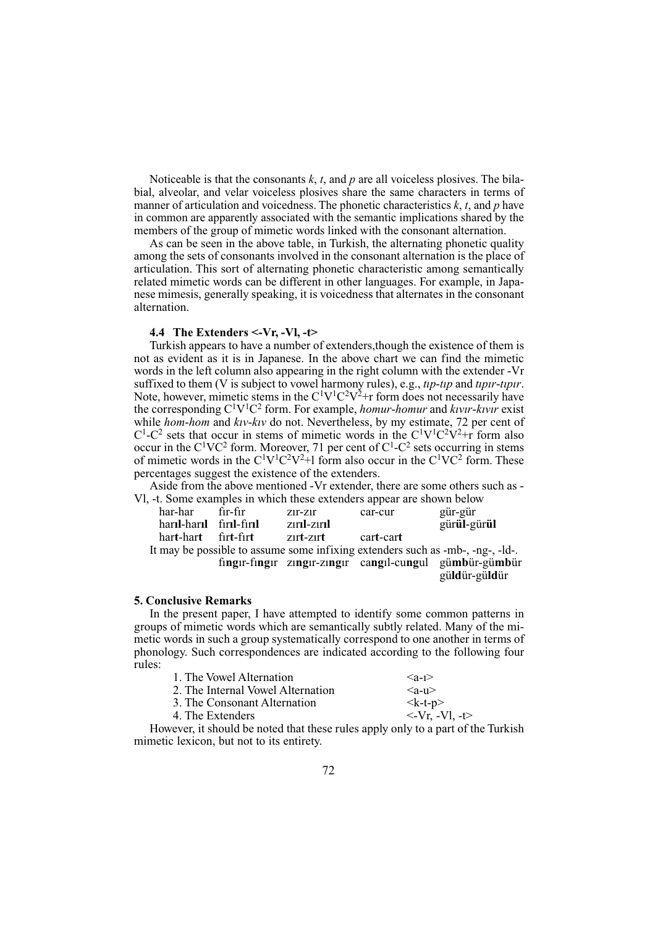Noticeable is that the consonants  $k$ ,  $t$ , and  $p$  are all voiceless plosives. The bilabial, alveolar, and velar voiceless plosives share the same characters in terms of manner of articulation and voicedness. The phonetic characteristics  $k$ ,  $t$ , and  $p$  have in common are apparently associated with the semantic implications shared by the members of the group of mimetic words linked with the consonant alternation.

As can be seen in the above table, in Turkish, the alternating phonetic quality among the sets of consonants involved in the consonant alternation is the place of articulation. This sort of alternating phonetic characteristic among semantically related mimetic words can be different in other languages. For example, in Japanese mimesis, generally speaking, it is voicedness that alternates in the consonant alternation.

### 4.4 The Extenders  $\leq$ -Vr, -Vl, -t>

Turkish appears to have a number of extenders, though the existence of them is not as evident as it is in Japanese. In the above chart we can find the mimetic words in the left column also appearing in the right column with the extender -Vr suffixed to them (V is subject to vowel harmony rules), e.g., tip-tip and tipir-tipir. Note, however, mimetic stems in the  $C^1V^1C^2V^2+r$  form does not necessarily have the corresponding  $C^1V^1C^2$  form. For example, *homur-homur* and *kww-kww* exist while hom-hom and kiv-kiv do not. Nevertheless, by my estimate, 72 per cent of  $C^1$ -C<sup>2</sup> sets that occur in stems of mimetic words in the  $C^1V^1C^2V^2+r$  form also occur in the  $C^{1}VC^{2}$  form. Moreover, 71 per cent of  $C^{1}-C^{2}$  sets occurring in stems of mimetic words in the  $C^1V^1C^2V^2+1$  form also occur in the  $C^1VC^2$  form. These percentages suggest the existence of the extenders.

Aside from the above mentioned -Vr extender, there are some others such as -VI, -t. Some examples in which these extenders appear are shown below

| har-har                 | fir-fir | $Z1r-Z1r$   | car-cur   | gür-gür     |  |
|-------------------------|---------|-------------|-----------|-------------|--|
| haril-haril firil-firil |         | zırıl-zırıl |           | gürül-gürül |  |
| hart-hart firt-firt     |         | zurt-zurt   | cart-cart |             |  |
|                         |         |             |           |             |  |

It may be possible to assume some infixing extenders such as -mb-, -ng-, -ld-. fingır-fingır zıngır-zıngır cangıl-cungul gümbür-gümbür güldür-güldür

## **5. Conclusive Remarks**

In the present paper, I have attempted to identify some common patterns in groups of mimetic words which are semantically subtly related. Many of the mimetic words in such a group systematically correspond to one another in terms of phonology. Such correspondences are indicated according to the following four rules:

| 1. The Vowel Alternation          | $\langle$ a-1 $>$              |
|-----------------------------------|--------------------------------|
| 2. The Internal Vowel Alternation | $\langle 2-11\rangle$          |
| 3. The Consonant Alternation      | $\langle k-t-p \rangle$        |
| 4. The Extenders                  | $\langle -Vr, -Vl, -t \rangle$ |

However, it should be noted that these rules apply only to a part of the Turkish mimetic lexicon, but not to its entirety.